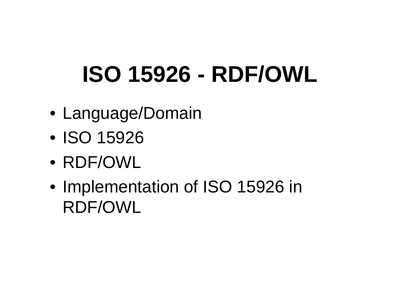# **ISO 15926 - RDF/OWL**

- Language/Domain
- ISO 15926
- RDF/OWL
- Implementation of ISO 15926 in RDF/OWL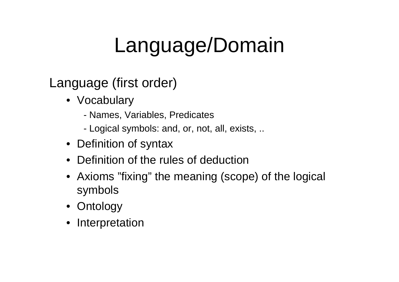## Language/Domain

#### Language (first order)

- Vocabulary
	- Names, Variables, Predicates
	- Logical symbols: and, or, not, all, exists, ..
- Definition of syntax
- Definition of the rules of deduction
- Axioms "fixing" the meaning (scope) of the logical symbols
- Ontology
- Interpretation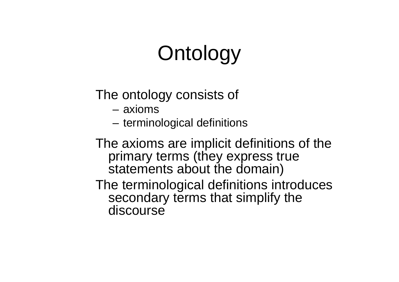## **Ontology**

The ontology consists of

- axioms
- terminological definitions

The axioms are implicit definitions of the primary terms (they express true statements about the domain)

The terminological definitions introduces secondary terms that simplify the discourse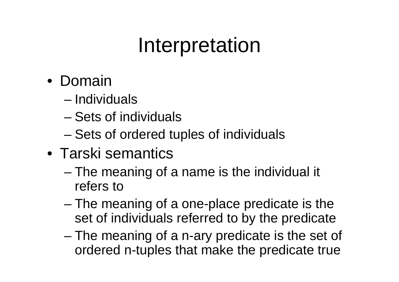### Interpretation

- Domain
	- Individuals
	- Sets of individuals
	- and the state of the state Sets of ordered tuples of individuals
- Tarski semantics
	- – The meaning of a name is the individual it refers to
	- and the state of the state The meaning of a one-place predicate is the set of individuals referred to by the predicate
	- and the state of the state The meaning of a n-ary predicate is the set of ordered n-tuples that make the predicate true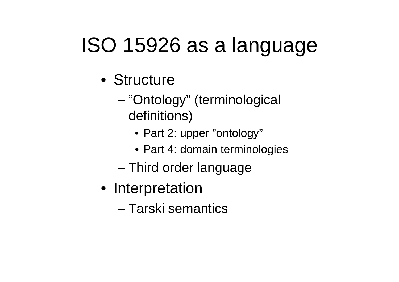## ISO 15926 as a language

- Structure
	- – "Ontology" (terminological definitions)
		- Part 2: upper "ontology"
		- Part 4: domain terminologies
	- Third order language
- Interpretation
	- Tarski semantics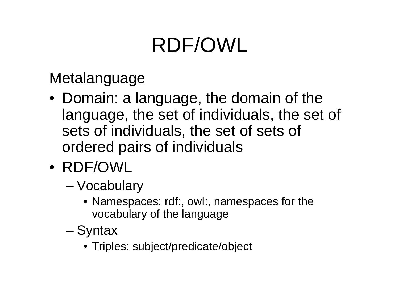## RDF/OWL

Metalanguage

- Domain: a language, the domain of the language, the set of individuals, the set of sets of individuals, the set of sets of ordered pairs of individuals
- RDF/OWL
	- – Vocabulary
		- Namespaces: rdf:, owl:, namespaces for the vocabulary of the language
	- and the state of the state **Syntax** 
		- Triples: subject/predicate/object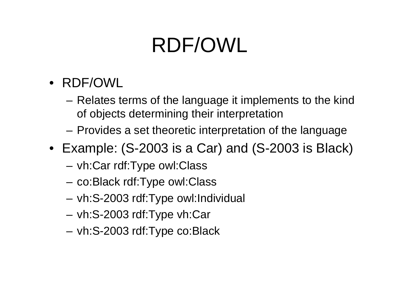## RDF/OWL

- RDF/OWL
	- and the state of the Relates terms of the language it implements to the kind of objects determining their interpretation
	- **Links of the Common** Provides a set theoretic interpretation of the language
- Example: (S-2003 is a Car) and (S-2003 is Black)
	- –vh:Car rdf:Type owl:Class
	- –co:Black rdf:Type owl:Class
	- **Links of the Common** vh:S-2003 rdf:Type owl:Individual
	- **Links of the Common** vh:S-2003 rdf:Type vh:Car
	- **Links of the Common** vh:S-2003 rdf:Type co:Black